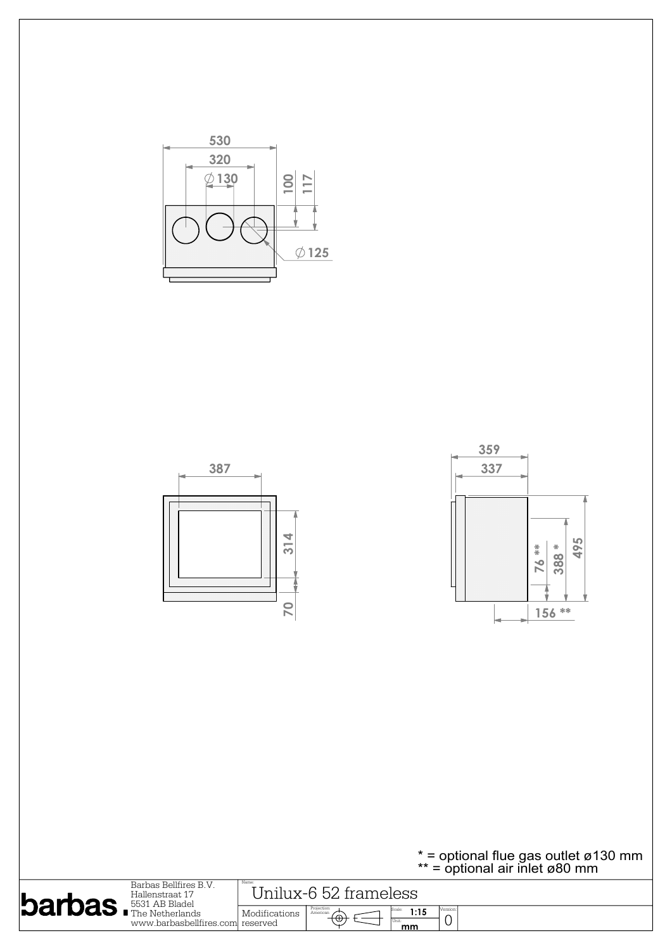



| <b>barbas FEALL</b> AB Bladel | Barbas Bellfires B.V.<br>Hallenstraat 17<br>www.barbasbellfires.com reserved | Name<br>. 52.<br>trameless<br>Jniliix-h |                                               |                              |  |  |
|-------------------------------|------------------------------------------------------------------------------|-----------------------------------------|-----------------------------------------------|------------------------------|--|--|
|                               |                                                                              | Modifications                           | Projection:<br>American<br>$+\oplus$<br>Unit: | Jersion: <br>1:15<br>ັ<br>mm |  |  |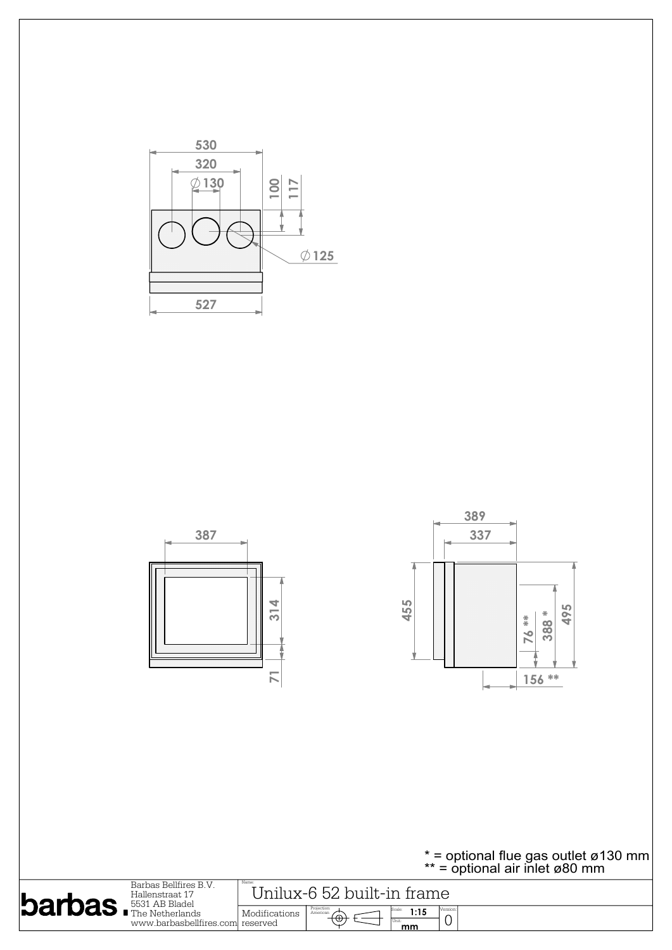



| $barb$ $5531$ AB Bladel | Barbas Bellfires B.V.<br>Hallenstraat 17<br>www.barbasbellfires.coml reserved | Name:<br>Jnilux-6 52 built-in frame |                                                    |                    |          |  |
|-------------------------|-------------------------------------------------------------------------------|-------------------------------------|----------------------------------------------------|--------------------|----------|--|
|                         |                                                                               | Modifications                       | Projection:<br>American<br>$\curvearrowright$<br>ত | 1:15<br>Unit<br>mm | Version. |  |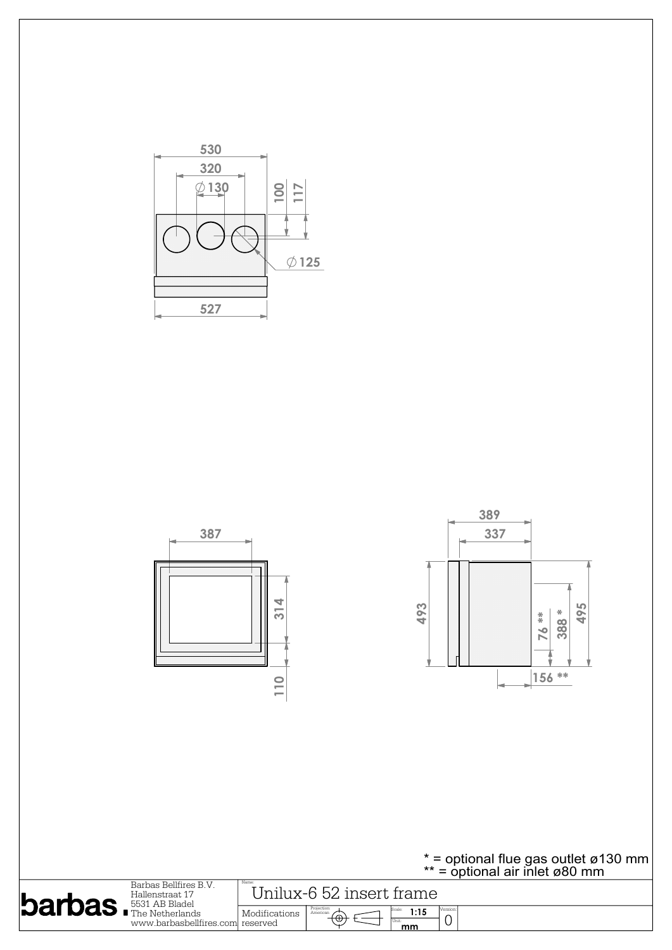







| $b$ arbas | Barbas Bellfires B.V.<br>Hallenstraat 17<br>5531 AB Bladel<br>$\blacksquare$ The Netherlands<br>www.barbasbellfires.coml reserved | Name:<br>Jnilux-6 52 insert frame |                               |                    |          |  |
|-----------|-----------------------------------------------------------------------------------------------------------------------------------|-----------------------------------|-------------------------------|--------------------|----------|--|
|           |                                                                                                                                   | Modifications                     | Projection:<br>American<br>◟◡ | 1:15<br>Unit<br>mm | Version: |  |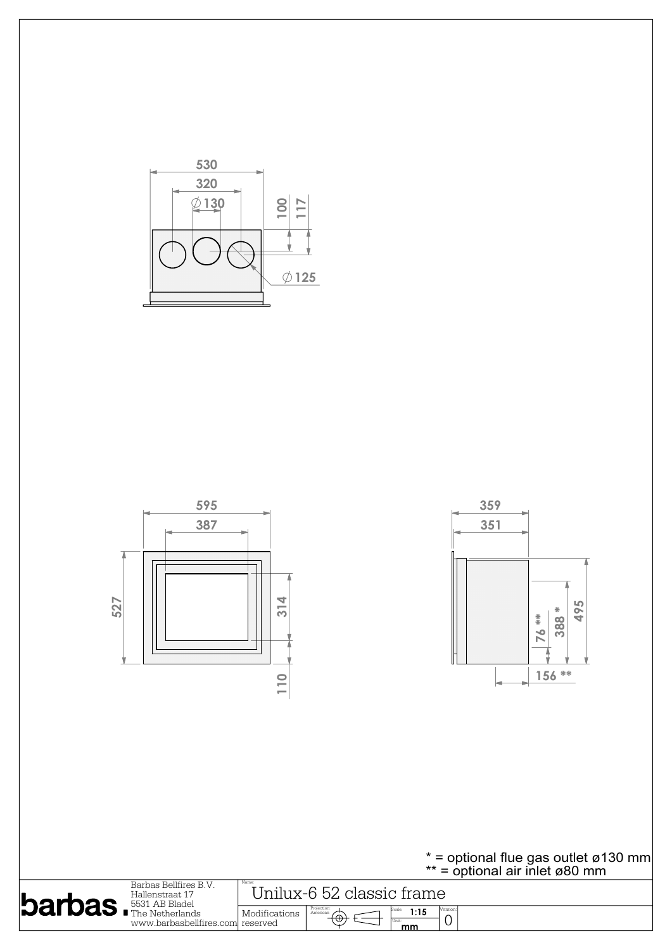